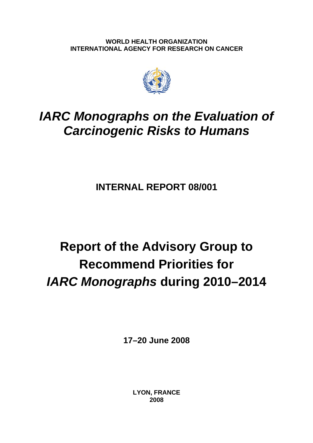**WORLD HEALTH ORGANIZATION INTERNATIONAL AGENCY FOR RESEARCH ON CANCER** 



# *IARC Monographs on the Evaluation of Carcinogenic Risks to Humans*

**INTERNAL REPORT 08/001** 

# **Report of the Advisory Group to Recommend Priorities for**  *IARC Monographs* **during 2010–2014**

**17–20 June 2008** 

**LYON, FRANCE 2008**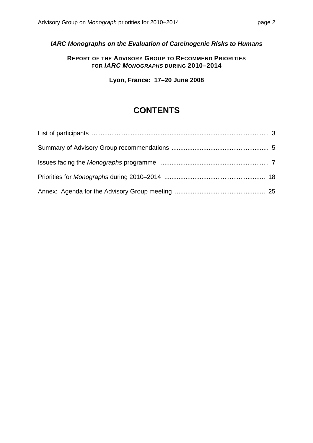*IARC Monographs on the Evaluation of Carcinogenic Risks to Humans*

**REPORT OF THE ADVISORY GROUP TO RECOMMEND PRIORITIES FOR** *IARC MONOGRAPHS* **DURING 2010–2014**

**Lyon, France: 17–20 June 2008**

# **CONTENTS**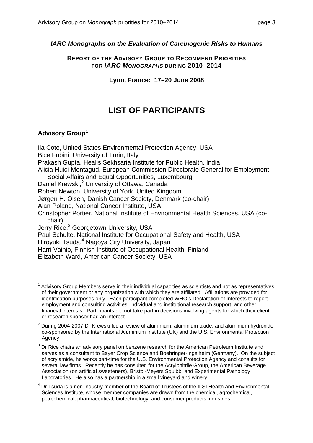### *IARC Monographs on the Evaluation of Carcinogenic Risks to Humans*

**REPORT OF THE ADVISORY GROUP TO RECOMMEND PRIORITIES FOR** *IARC MONOGRAPHS* **DURING 2010–2014**

**Lyon, France: 17–20 June 2008**

# **LIST OF PARTICIPANTS**

## **Advisory Group1**

 $\overline{a}$ 

Ila Cote, United States Environmental Protection Agency, USA Bice Fubini, University of Turin, Italy Prakash Gupta, Healis Sekhsaria Institute for Public Health, India Alicia Huici-Montagud, European Commission Directorate General for Employment, Social Affairs and Equal Opportunities, Luxembourg Daniel Krewski,<sup>2</sup> University of Ottawa, Canada Robert Newton, University of York, United Kingdom Jørgen H. Olsen, Danish Cancer Society, Denmark (co-chair) Alan Poland, National Cancer Institute, USA Christopher Portier, National Institute of Environmental Health Sciences, USA (cochair) Jerry Rice,<sup>3</sup> Georgetown University, USA Paul Schulte, National Institute for Occupational Safety and Health, USA Hiroyuki Tsuda,<sup>4</sup> Nagoya City University, Japan Harri Vainio, Finnish Institute of Occupational Health, Finland Elizabeth Ward, American Cancer Society, USA

 $1$  Advisory Group Members serve in their individual capacities as scientists and not as representatives of their government or any organization with which they are affiliated. Affiliations are provided for identification purposes only. Each participant completed WHO's Declaration of Interests to report employment and consulting activities, individual and institutional research support, and other financial interests. Participants did not take part in decisions involving agents for which their client or research sponsor had an interest.

 $2$  During 2004-2007 Dr Krewski led a review of aluminium, aluminium oxide, and aluminium hydroxide co-sponsored by the International Aluminium Institute (UK) and the U.S. Environmental Protection Agency.

 $3$  Dr Rice chairs an advisory panel on benzene research for the American Petroleum Institute and serves as a consultant to Bayer Crop Science and Boehringer-Ingelheim (Germany). On the subject of acrylamide, he works part-time for the U.S. Environmental Protection Agency and consults for several law firms. Recently he has consulted for the Acrylonitrile Group, the American Beverage Association (on artificial sweeteners), Bristol-Meyers Squibb, and Experimental Pathology Laboratories. He also has a partnership in a small vineyard and winery.

<sup>4</sup> Dr Tsuda is a non-industry member of the Board of Trustees of the ILSI Health and Environmental Sciences Institute, whose member companies are drawn from the chemical, agrochemical, petrochemical, pharmaceutical, biotechnology, and consumer products industries.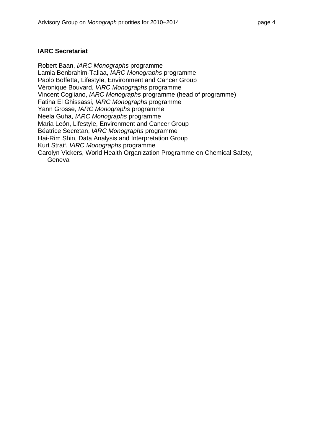#### **IARC Secretariat**

Robert Baan, *IARC Monographs* programme Lamia Benbrahim-Tallaa, *IARC Monographs* programme Paolo Boffetta, Lifestyle, Environment and Cancer Group Véronique Bouvard, *IARC Monographs* programme Vincent Cogliano, *IARC Monographs* programme (head of programme) Fatiha El Ghissassi, *IARC Monographs* programme Yann Grosse, *IARC Monographs* programme Neela Guha, *IARC Monographs* programme Maria León, Lifestyle, Environment and Cancer Group Béatrice Secretan, *IARC Monographs* programme Hai-Rim Shin, Data Analysis and Interpretation Group Kurt Straif, *IARC Monographs* programme Carolyn Vickers, World Health Organization Programme on Chemical Safety, Geneva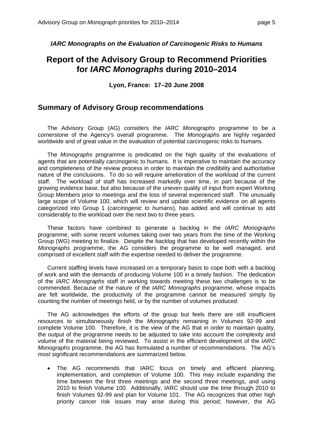*IARC Monographs on the Evaluation of Carcinogenic Risks to Humans* 

# **Report of the Advisory Group to Recommend Priorities for** *IARC Monographs* **during 2010–2014**

**Lyon, France: 17–20 June 2008**

#### **Summary of Advisory Group recommendations**

 The Advisory Group (AG) considers the *IARC Monographs* programme to be a cornerstone of the Agency's overall programme. The *Monographs* are highly regarded worldwide and of great value in the evaluation of potential carcinogenic risks to humans.

 The *Monographs* programme is predicated on the high quality of the evaluations of agents that are potentially carcinogenic to humans. It is imperative to maintain the accuracy and completeness of the review process in order to maintain the credibility and authoritative nature of the conclusions. To do so will require amelioration of the workload of the current staff. The workload of staff has increased markedly over time, in part because of the growing evidence base, but also because of the uneven quality of input from expert Working Group Members prior to meetings and the loss of several experienced staff. The unusually large scope of Volume 100, which will review and update scientific evidence on all agents categorized into Group 1 (*carcinogenic to humans*), has added and will continue to add considerably to the workload over the next two to three years.

 These factors have combined to generate a backlog in the *IARC Monographs* programme, with some recent volumes taking over two years from the time of the Working Group (WG) meeting to finalize. Despite the backlog that has developed recently within the *Monographs* programme, the AG considers the programme to be well managed, and comprised of excellent staff with the expertise needed to deliver the programme.

 Current staffing levels have increased on a temporary basis to cope both with a backlog of work and with the demands of producing Volume 100 in a timely fashion. The dedication of the *IARC Monographs* staff in working towards meeting these two challenges is to be commended. Because of the nature of the *IARC Monographs* programme, whose impacts are felt worldwide, the productivity of the programme cannot be measured simply by counting the number of meetings held, or by the number of volumes produced.

 The AG acknowledges the efforts of the group but feels there are still insufficient resources to simultaneously finish the *Monographs* remaining in Volumes 92-99 and complete Volume 100. Therefore, it is the view of the AG that in order to maintain quality, the output of the programme needs to be adjusted to take into account the complexity and volume of the material being reviewed. To assist in the efficient development of the *IARC Monographs* programme, the AG has formulated a number of recommendations. The AG's most significant recommendations are summarized below.

• The AG recommends that IARC focus on timely and efficient planning, implementation, and completion of Volume 100. This may include expanding the time between the first three meetings and the second three meetings, and using 2010 to finish Volume 100. Additionally, IARC should use the time through 2010 to finish Volumes 92-99 and plan for Volume 101. The AG recognizes that other high priority cancer risk issues may arise during this period; however, the AG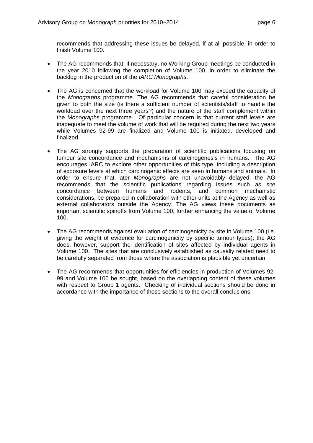recommends that addressing these issues be delayed, if at all possible, in order to finish Volume 100.

- The AG recommends that, if necessary, no Working Group meetings be conducted in the year 2010 following the completion of Volume 100, in order to eliminate the backlog in the production of the *IARC Monographs*.
- The AG is concerned that the workload for Volume 100 may exceed the capacity of the *Monographs* programme. The AG recommends that careful consideration be given to both the size (is there a sufficient number of scientists/staff to handle the workload over the next three years?) and the nature of the staff complement within the *Monographs* programme. Of particular concern is that current staff levels are inadequate to meet the volume of work that will be required during the next two years while Volumes 92-99 are finalized and Volume 100 is initiated, developed and finalized.
- The AG strongly supports the preparation of scientific publications focusing on tumour site concordance and mechanisms of carcinogenesis in humans. The AG encourages IARC to explore other opportunities of this type, including a description of exposure levels at which carcinogenic effects are seen in humans and animals. In order to ensure that later *Monographs* are not unavoidably delayed, the AG recommends that the scientific publications regarding issues such as site concordance between humans and rodents, and common mechanistic considerations, be prepared in collaboration with other units at the Agency as well as external collaborators outside the Agency. The AG views these documents as important scientific spinoffs from Volume 100, further enhancing the value of Volume 100.
- The AG recommends against evaluation of carcinogenicity by site in Volume 100 (i.e. giving the weight of evidence for carcinogenicity by specific tumour types); the AG does, however, support the identification of sites affected by individual agents in Volume 100. The sites that are conclusively established as causally related need to be carefully separated from those where the association is plausible yet uncertain.
- The AG recommends that opportunities for efficiencies in production of Volumes 92- 99 and Volume 100 be sought, based on the overlapping content of these volumes with respect to Group 1 agents. Checking of individual sections should be done in accordance with the importance of those sections to the overall conclusions.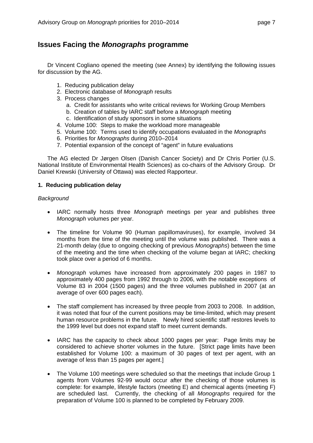## **Issues Facing the** *Monographs* **programme**

 Dr Vincent Cogliano opened the meeting (see Annex) by identifying the following issues for discussion by the AG.

- 1. Reducing publication delay
- 2. Electronic database of *Monograph* results
- 3. Process changes
	- a. Credit for assistants who write critical reviews for Working Group Members
	- b. Creation of tables by IARC staff before a *Monograph* meeting
	- c. Identification of study sponsors in some situations
- 4. Volume 100: Steps to make the workload more manageable
- 5. Volume 100: Terms used to identify occupations evaluated in the *Monographs*
- 6. Priorities for *Monographs* during 2010–2014
- 7. Potential expansion of the concept of "agent" in future evaluations

 The AG elected Dr Jørgen Olsen (Danish Cancer Society) and Dr Chris Portier (U.S. National Institute of Environmental Health Sciences) as co-chairs of the Advisory Group. Dr Daniel Krewski (University of Ottawa) was elected Rapporteur.

#### **1. Reducing publication delay**

#### *Background*

- IARC normally hosts three *Monograph* meetings per year and publishes three *Monograph* volumes per year.
- The timeline for Volume 90 (Human papillomaviruses), for example, involved 34 months from the time of the meeting until the volume was published. There was a 21-month delay (due to ongoing checking of previous *Monographs*) between the time of the meeting and the time when checking of the volume began at IARC; checking took place over a period of 6 months.
- *Monograph* volumes have increased from approximately 200 pages in 1987 to approximately 400 pages from 1992 through to 2006, with the notable exceptions of Volume 83 in 2004 (1500 pages) and the three volumes published in 2007 (at an average of over 600 pages each).
- The staff complement has increased by three people from 2003 to 2008. In addition, it was noted that four of the current positions may be time-limited, which may present human resource problems in the future. Newly hired scientific staff restores levels to the 1999 level but does not expand staff to meet current demands.
- IARC has the capacity to check about 1000 pages per year: Page limits may be considered to achieve shorter volumes in the future. [Strict page limits have been established for Volume 100: a maximum of 30 pages of text per agent, with an average of less than 15 pages per agent.]
- The Volume 100 meetings were scheduled so that the meetings that include Group 1 agents from Volumes 92-99 would occur after the checking of those volumes is complete: for example, lifestyle factors (meeting E) and chemical agents (meeting F) are scheduled last. Currently, the checking of all *Monographs* required for the preparation of Volume 100 is planned to be completed by February 2009.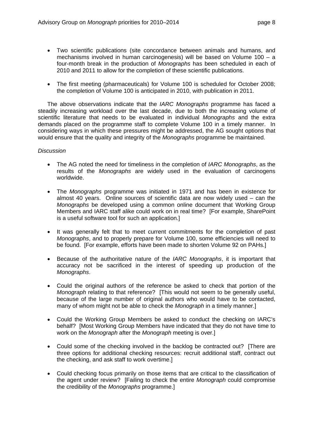- Two scientific publications (site concordance between animals and humans, and mechanisms involved in human carcinogenesis) will be based on Volume 100 – a four-month break in the production of *Monographs* has been scheduled in each of 2010 and 2011 to allow for the completion of these scientific publications.
- The first meeting (pharmaceuticals) for Volume 100 is scheduled for October 2008; the completion of Volume 100 is anticipated in 2010, with publication in 2011.

 The above observations indicate that the *IARC Monographs* programme has faced a steadily increasing workload over the last decade, due to both the increasing volume of scientific literature that needs to be evaluated in individual *Monographs* and the extra demands placed on the programme staff to complete Volume 100 in a timely manner. In considering ways in which these pressures might be addressed, the AG sought options that would ensure that the quality and integrity of the *Monographs* programme be maintained.

#### *Discussion*

- The AG noted the need for timeliness in the completion of *IARC Monographs*, as the results of the *Monographs* are widely used in the evaluation of carcinogens worldwide.
- The *Monographs* programme was initiated in 1971 and has been in existence for almost 40 years. Online sources of scientific data are now widely used – can the *Monographs* be developed using a common online document that Working Group Members and IARC staff alike could work on in real time? [For example, SharePoint is a useful software tool for such an application.]
- It was generally felt that to meet current commitments for the completion of past *Monographs*, and to properly prepare for Volume 100, some efficiencies will need to be found. [For example, efforts have been made to shorten Volume 92 on PAHs.]
- Because of the authoritative nature of the *IARC Monographs*, it is important that accuracy not be sacrificed in the interest of speeding up production of the *Monographs*.
- Could the original authors of the reference be asked to check that portion of the *Monograph* relating to that reference? [This would not seem to be generally useful, because of the large number of original authors who would have to be contacted, many of whom might not be able to check the *Monograph* in a timely manner.]
- Could the Working Group Members be asked to conduct the checking on IARC's behalf? [Most Working Group Members have indicated that they do not have time to work on the *Monograph* after the *Monograph* meeting is over.]
- Could some of the checking involved in the backlog be contracted out? [There are three options for additional checking resources: recruit additional staff, contract out the checking, and ask staff to work overtime.]
- Could checking focus primarily on those items that are critical to the classification of the agent under review? [Failing to check the entire *Monograph* could compromise the credibility of the *Monographs* programme.]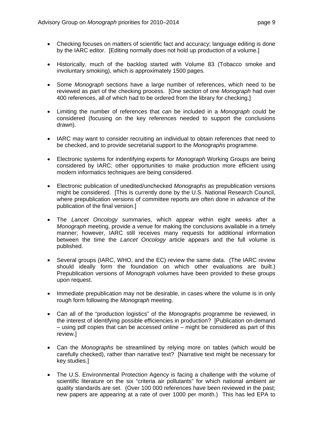- Checking focuses on matters of scientific fact and accuracy: language editing is done by the IARC editor. [Editing normally does not hold up production of a volume.]
- Historically, much of the backlog started with Volume 83 (Tobacco smoke and involuntary smoking), which is approximately 1500 pages.
- Some *Monograph* sections have a large number of references, which need to be reviewed as part of the checking process. [One section of one *Monograph* had over 400 references, all of which had to be ordered from the library for checking.]
- Limiting the number of references that can be included in a *Monograph* could be considered (focusing on the key references needed to support the conclusions drawn).
- IARC may want to consider recruiting an individual to obtain references that need to be checked, and to provide secretarial support to the *Monographs* programme.
- Electronic systems for indentifying experts for *Monograph* Working Groups are being considered by IARC; other opportunities to make production more efficient using modern informatics techniques are being considered.
- Electronic publication of unedited/unchecked *Monographs* as prepublication versions might be considered. [This is currently done by the U.S. National Research Council, where prepublication versions of committee reports are often done in advance of the publication of the final version.]
- The *Lancet Oncology* summaries, which appear within eight weeks after a *Monograph* meeting, provide a venue for making the conclusions available in a timely manner; however, IARC still receives many requests for additional information between the time the *Lancet Oncology* article appears and the full volume is published.
- Several groups (IARC, WHO, and the EC) review the same data. (The IARC review should ideally form the foundation on which other evaluations are built.) Prepublication versions of *Monograph* volumes have been provided to these groups upon request.
- Immediate prepublication may not be desirable, in cases where the volume is in only rough form following the *Monograph* meeting.
- Can all of the "production logistics" of the *Monographs* programme be reviewed, in the interest of identifying possible efficiencies in production? [Publication on-demand – using pdf copies that can be accessed online – might be considered as part of this review.]
- Can the *Monographs* be streamlined by relying more on tables (which would be carefully checked), rather than narrative text? [Narrative text might be necessary for key studies.]
- The U.S. Environmental Protection Agency is facing a challenge with the volume of scientific literature on the six "criteria air pollutants" for which national ambient air quality standards are set. (Over 100 000 references have been reviewed in the past; new papers are appearing at a rate of over 1000 per month.) This has led EPA to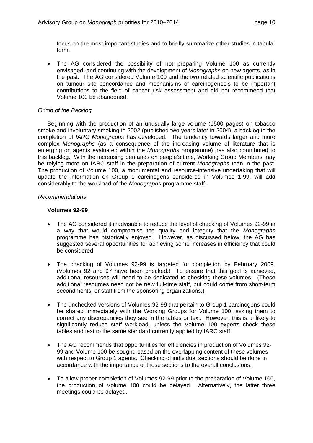focus on the most important studies and to briefly summarize other studies in tabular form.

• The AG considered the possibility of not preparing Volume 100 as currently envisaged, and continuing with the development of *Monographs* on new agents, as in the past. The AG considered Volume 100 and the two related scientific publications on tumour site concordance and mechanisms of carcinogenesis to be important contributions to the field of cancer risk assessment and did not recommend that Volume 100 be abandoned.

#### *Origin of the Backlog*

 Beginning with the production of an unusually large volume (1500 pages) on tobacco smoke and involuntary smoking in 2002 (published two years later in 2004), a backlog in the completion of *IARC Monographs* has developed. The tendency towards larger and more complex *Monographs* (as a consequence of the increasing volume of literature that is emerging on agents evaluated within the *Monographs* programme) has also contributed to this backlog. With the increasing demands on people's time, Working Group Members may be relying more on IARC staff in the preparation of current *Monographs* than in the past. The production of Volume 100, a monumental and resource-intensive undertaking that will update the information on Group 1 carcinogens considered in Volumes 1-99, will add considerably to the workload of the *Monographs* programme staff.

#### *Recommendations*

#### **Volumes 92-99**

- The AG considered it inadvisable to reduce the level of checking of Volumes 92-99 in a way that would compromise the quality and integrity that the *Monograph*s programme has historically enjoyed. However, as discussed below, the AG has suggested several opportunities for achieving some increases in efficiency that could be considered.
- The checking of Volumes 92-99 is targeted for completion by February 2009. (Volumes 92 and 97 have been checked.) To ensure that this goal is achieved, additional resources will need to be dedicated to checking these volumes. (These additional resources need not be new full-time staff, but could come from short-term secondments, or staff from the sponsoring organizations.)
- The unchecked versions of Volumes 92-99 that pertain to Group 1 carcinogens could be shared immediately with the Working Groups for Volume 100, asking them to correct any discrepancies they see in the tables or text. However, this is unlikely to significantly reduce staff workload, unless the Volume 100 experts check these tables and text to the same standard currently applied by IARC staff.
- The AG recommends that opportunities for efficiencies in production of Volumes 92- 99 and Volume 100 be sought, based on the overlapping content of these volumes with respect to Group 1 agents. Checking of individual sections should be done in accordance with the importance of those sections to the overall conclusions.
- To allow proper completion of Volumes 92-99 prior to the preparation of Volume 100, the production of Volume 100 could be delayed. Alternatively, the latter three meetings could be delayed.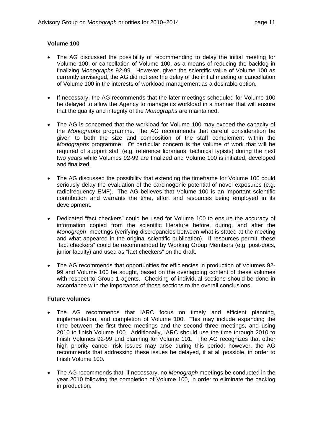#### **Volume 100**

- The AG discussed the possibility of recommending to delay the initial meeting for Volume 100, or cancellation of Volume 100, as a means of reducing the backlog in finalizing *Monographs* 92-99. However, given the scientific value of Volume 100 as currently envisaged, the AG did not see the delay of the initial meeting or cancellation of Volume 100 in the interests of workload management as a desirable option.
- If necessary, the AG recommends that the later meetings scheduled for Volume 100 be delayed to allow the Agency to manage its workload in a manner that will ensure that the quality and integrity of the *Monographs* are maintained.
- The AG is concerned that the workload for Volume 100 may exceed the capacity of the *Monographs* programme. The AG recommends that careful consideration be given to both the size and composition of the staff complement within the *Monographs* programme. Of particular concern is the volume of work that will be required of support staff (e.g. reference librarians, technical typists) during the next two years while Volumes 92-99 are finalized and Volume 100 is initiated, developed and finalized.
- The AG discussed the possibility that extending the timeframe for Volume 100 could seriously delay the evaluation of the carcinogenic potential of novel exposures (e.g. radiofrequency EMF). The AG believes that Volume 100 is an important scientific contribution and warrants the time, effort and resources being employed in its development.
- Dedicated "fact checkers" could be used for Volume 100 to ensure the accuracy of information copied from the scientific literature before, during, and after the *Monograph* meetings (verifying discrepancies between what is stated at the meeting and what appeared in the original scientific publication). If resources permit, these "fact checkers" could be recommended by Working Group Members (e.g. post-docs, junior faculty) and used as "fact checkers" on the draft.
- The AG recommends that opportunities for efficiencies in production of Volumes 92- 99 and Volume 100 be sought, based on the overlapping content of these volumes with respect to Group 1 agents. Checking of individual sections should be done in accordance with the importance of those sections to the overall conclusions.

#### **Future volumes**

- The AG recommends that IARC focus on timely and efficient planning, implementation, and completion of Volume 100. This may include expanding the time between the first three meetings and the second three meetings, and using 2010 to finish Volume 100. Additionally, IARC should use the time through 2010 to finish Volumes 92-99 and planning for Volume 101. The AG recognizes that other high priority cancer risk issues may arise during this period; however, the AG recommends that addressing these issues be delayed, if at all possible, in order to finish Volume 100.
- The AG recommends that, if necessary, no *Monograph* meetings be conducted in the year 2010 following the completion of Volume 100, in order to eliminate the backlog in production.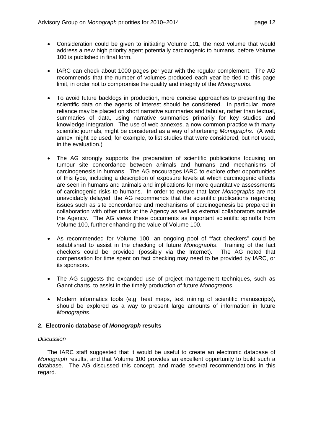- Consideration could be given to initiating Volume 101, the next volume that would address a new high priority agent potentially carcinogenic to humans, before Volume 100 is published in final form.
- IARC can check about 1000 pages per year with the regular complement. The AG recommends that the number of volumes produced each year be tied to this page limit, in order not to compromise the quality and integrity of the *Monographs*.
- To avoid future backlogs in production, more concise approaches to presenting the scientific data on the agents of interest should be considered. In particular, more reliance may be placed on short narrative summaries and tabular, rather than textual, summaries of data, using narrative summaries primarily for key studies and knowledge integration. The use of web annexes, a now common practice with many scientific journals, might be considered as a way of shortening *Monographs*. (A web annex might be used, for example, to list studies that were considered, but not used, in the evaluation.)
- The AG strongly supports the preparation of scientific publications focusing on tumour site concordance between animals and humans and mechanisms of carcinogenesis in humans. The AG encourages IARC to explore other opportunities of this type, including a description of exposure levels at which carcinogenic effects are seen in humans and animals and implications for more quantitative assessments of carcinogenic risks to humans. In order to ensure that later *Monographs* are not unavoidably delayed, the AG recommends that the scientific publications regarding issues such as site concordance and mechanisms of carcinogenesis be prepared in collaboration with other units at the Agency as well as external collaborators outside the Agency. The AG views these documents as important scientific spinoffs from Volume 100, further enhancing the value of Volume 100.
- As recommended for Volume 100, an ongoing pool of "fact checkers" could be established to assist in the checking of future *Monographs*. Training of the fact checkers could be provided (possibly via the Internet). The AG noted that compensation for time spent on fact checking may need to be provided by IARC, or its sponsors.
- The AG suggests the expanded use of project management techniques, such as Gannt charts, to assist in the timely production of future *Monographs*.
- Modern informatics tools (e.g. heat maps, text mining of scientific manuscripts), should be explored as a way to present large amounts of information in future *Monographs*.

#### **2. Electronic database of** *Monograph* **results**

#### *Discussion*

The IARC staff suggested that it would be useful to create an electronic database of *Monograph* results, and that Volume 100 provides an excellent opportunity to build such a database. The AG discussed this concept, and made several recommendations in this regard.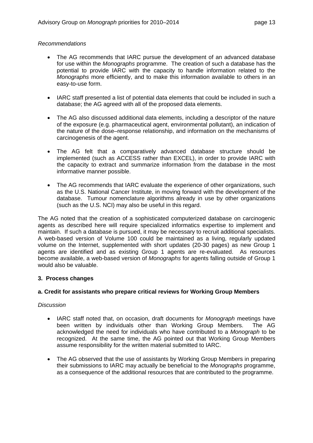#### *Recommendations*

- The AG recommends that IARC pursue the development of an advanced database for use within the *Monographs* programme. The creation of such a database has the potential to provide IARC with the capacity to handle information related to the *Monographs* more efficiently, and to make this information available to others in an easy-to-use form.
- IARC staff presented a list of potential data elements that could be included in such a database; the AG agreed with all of the proposed data elements.
- The AG also discussed additional data elements, including a descriptor of the nature of the exposure (e.g. pharmaceutical agent, environmental pollutant), an indication of the nature of the dose–response relationship, and information on the mechanisms of carcinogenesis of the agent.
- The AG felt that a comparatively advanced database structure should be implemented (such as ACCESS rather than EXCEL), in order to provide IARC with the capacity to extract and summarize information from the database in the most informative manner possible.
- The AG recommends that IARC evaluate the experience of other organizations, such as the U.S. National Cancer Institute, in moving forward with the development of the database. Tumour nomenclature algorithms already in use by other organizations (such as the U.S. NCI) may also be useful in this regard.

The AG noted that the creation of a sophisticated computerized database on carcinogenic agents as described here will require specialized informatics expertise to implement and maintain. If such a database is pursued, it may be necessary to recruit additional specialists. A web-based version of Volume 100 could be maintained as a living, regularly updated volume on the Internet, supplemented with short updates (20-30 pages) as new Group 1 agents are identified and as existing Group 1 agents are re-evaluated. As resources become available, a web-based version of *Monographs* for agents falling outside of Group 1 would also be valuable.

#### **3. Process changes**

#### **a. Credit for assistants who prepare critical reviews for Working Group Members**

#### *Discussion*

- IARC staff noted that, on occasion, draft documents for *Monograph* meetings have been written by individuals other than Working Group Members. The AG acknowledged the need for individuals who have contributed to a *Monograph* to be recognized. At the same time, the AG pointed out that Working Group Members assume responsibility for the written material submitted to IARC.
- The AG observed that the use of assistants by Working Group Members in preparing their submissions to IARC may actually be beneficial to the *Monographs* programme, as a consequence of the additional resources that are contributed to the programme.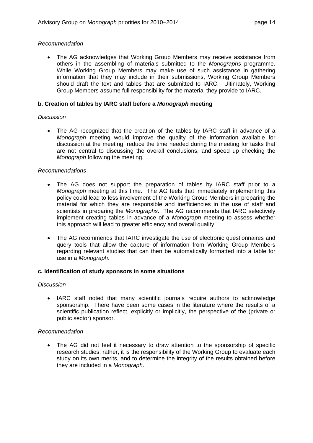#### *Recommendation*

• The AG acknowledges that Working Group Members may receive assistance from others in the assembling of materials submitted to the *Monographs* programme. While Working Group Members may make use of such assistance in gathering information that they may include in their submissions, Working Group Members should draft the text and tables that are submitted to IARC. Ultimately, Working Group Members assume full responsibility for the material they provide to IARC.

#### **b. Creation of tables by IARC staff before a** *Monograph* **meeting**

#### *Discussion*

• The AG recognized that the creation of the tables by IARC staff in advance of a *Monograph* meeting would improve the quality of the information available for discussion at the meeting, reduce the time needed during the meeting for tasks that are not central to discussing the overall conclusions, and speed up checking the *Monograph* following the meeting.

#### *Recommendations*

- The AG does not support the preparation of tables by IARC staff prior to a *Monograph* meeting at this time. The AG feels that immediately implementing this policy could lead to less involvement of the Working Group Members in preparing the material for which they are responsible and inefficiencies in the use of staff and scientists in preparing the *Monographs*. The AG recommends that IARC selectively implement creating tables in advance of a *Monograph* meeting to assess whether this approach will lead to greater efficiency and overall quality.
- The AG recommends that IARC investigate the use of electronic questionnaires and query tools that allow the capture of information from Working Group Members regarding relevant studies that can then be automatically formatted into a table for use in a *Monograph*.

#### **c. Identification of study sponsors in some situations**

#### *Discussion*

• IARC staff noted that many scientific journals require authors to acknowledge sponsorship. There have been some cases in the literature where the results of a scientific publication reflect, explicitly or implicitly, the perspective of the (private or public sector) sponsor.

#### *Recommendation*

• The AG did not feel it necessary to draw attention to the sponsorship of specific research studies; rather, it is the responsibility of the Working Group to evaluate each study on its own merits, and to determine the integrity of the results obtained before they are included in a *Monograph*.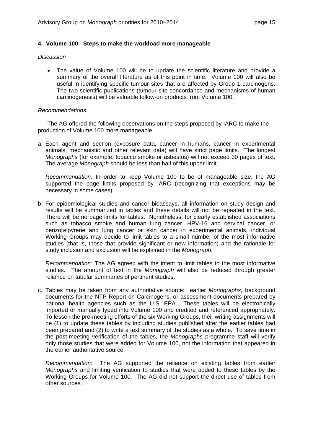#### **4. Volume 100: Steps to make the workload more manageable**

#### *Discussion*

• The value of Volume 100 will be to update the scientific literature and provide a summary of the overall literature as of this point in time. Volume 100 will also be useful in identifying specific tumour sites that are affected by Group 1 carcinogens. The two scientific publications (tumour site concordance and mechanisms of human carcinogenesis) will be valuable follow-on products from Volume 100.

#### *Recommendations*

 The AG offered the following observations on the steps proposed by IARC to make the production of Volume 100 more manageable.

a. Each agent and section (exposure data, cancer in humans, cancer in experimental animals, mechanistic and other relevant data) will have strict page limits. The longest *Monographs* (for example, tobacco smoke or asbestos) will not exceed 30 pages of text. The average *Monograph* should be less than half of this upper limit.

*Recommendation:* In order to keep Volume 100 to be of manageable size, the AG supported the page limits proposed by IARC (recognizing that exceptions may be necessary in some cases).

b. For epidemiological studies and cancer bioassays, all information on study design and results will be summarized in tables and these details will not be repeated in the text. There will be no page limits for tables. Nonetheless, for clearly established associations such as tobacco smoke and human lung cancer, HPV-16 and cervical cancer, or benzo[*a*]pyrene and lung cancer or skin cancer in experimental animals, individual Working Groups may decide to limit tables to a small number of the most informative studies (that is, those that provide significant or new information) and the rationale for study inclusion and exclusion will be explained in the *Monograph*.

*Recommendation:* The AG agreed with the intent to limit tables to the most informative studies. The amount of text in the *Monograph* will also be reduced through greater reliance on tabular summaries of pertinent studies.

c. Tables may be taken from any authoritative source: earlier *Monographs*, background documents for the NTP Report on Carcinogens, or assessment documents prepared by national health agencies such as the U.S. EPA. These tables will be electronically imported or manually typed into Volume 100 and credited and referenced appropriately. To lessen the pre-meeting efforts of the six Working Groups, their writing assignments will be (1) to update these tables by including studies published after the earlier tables had been prepared and (2) to write a text summary of the studies as a whole. To save time in the post-meeting verification of the tables, the *Monographs* programme staff will verify only those studies that were added for Volume 100, not the information that appeared in the earlier authoritative source.

*Recommendation:* The AG supported the reliance on existing tables from earlier *Monographs* and limiting verification to studies that were added to these tables by the Working Groups for Volume 100. The AG did not support the direct use of tables from other sources.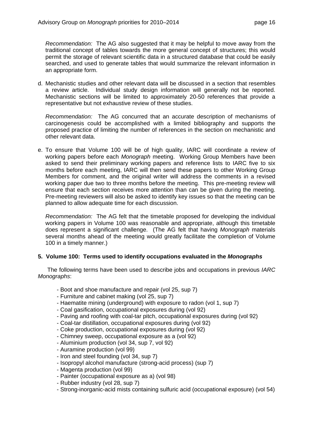*Recommendation:* The AG also suggested that it may be helpful to move away from the traditional concept of tables towards the more general concept of structures; this would permit the storage of relevant scientific data in a structured database that could be easily searched, and used to generate tables that would summarize the relevant information in an appropriate form.

d. Mechanistic studies and other relevant data will be discussed in a section that resembles a review article. Individual study design information will generally not be reported. Mechanistic sections will be limited to approximately 20-50 references that provide a representative but not exhaustive review of these studies.

*Recommendation:* The AG concurred that an accurate description of mechanisms of carcinogenesis could be accomplished with a limited bibliography and supports the proposed practice of limiting the number of references in the section on mechanistic and other relevant data.

e. To ensure that Volume 100 will be of high quality, IARC will coordinate a review of working papers before each *Monograph* meeting. Working Group Members have been asked to send their preliminary working papers and reference lists to IARC five to six months before each meeting, IARC will then send these papers to other Working Group Members for comment, and the original writer will address the comments in a revised working paper due two to three months before the meeting. This pre-meeting review will ensure that each section receives more attention than can be given during the meeting. Pre-meeting reviewers will also be asked to identify key issues so that the meeting can be planned to allow adequate time for each discussion.

*Recommendation:* The AG felt that the timetable proposed for developing the individual working papers in Volume 100 was reasonable and appropriate, although this timetable does represent a significant challenge. (The AG felt that having *Monograph* materials several months ahead of the meeting would greatly facilitate the completion of Volume 100 in a timely manner.)

#### **5. Volume 100: Terms used to identify occupations evaluated in the** *Monographs*

 The following terms have been used to describe jobs and occupations in previous *IARC Monographs*:

- Boot and shoe manufacture and repair (vol 25, sup 7)
- Furniture and cabinet making (vol 25, sup 7)
- Haematite mining (underground) with exposure to radon (vol 1, sup 7)
- Coal gasification, occupational exposures during (vol 92)
- Paving and roofing with coal-tar pitch, occupational exposures during (vol 92)
- Coal-tar distillation, occupational exposures during (vol 92)
- Coke production, occupational exposures during (vol 92)
- Chimney sweep, occupational exposure as a (vol 92)
- Aluminium production (vol 34, sup 7, vol 92)
- Auramine production (vol 99)
- Iron and steel founding (vol 34, sup 7)
- Isopropyl alcohol manufacture (strong-acid process) (sup 7)
- Magenta production (vol 99)
- Painter (occupational exposure as a) (vol 98)
- Rubber industry (vol 28, sup 7)
- Strong-inorganic-acid mists containing sulfuric acid (occupational exposure) (vol 54)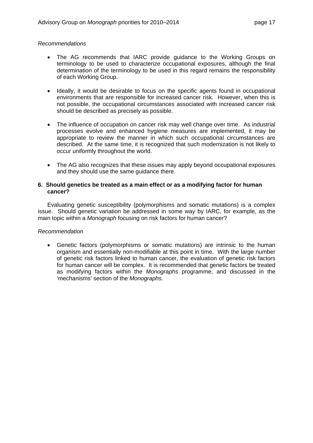#### *Recommendations*

- The AG recommends that IARC provide guidance to the Working Groups on terminology to be used to characterize occupational exposures, although the final determination of the terminology to be used in this regard remains the responsibility of each Working Group.
- Ideally, it would be desirable to focus on the specific agents found in occupational environments that are responsible for increased cancer risk. However, when this is not possible, the occupational circumstances associated with increased cancer risk should be described as precisely as possible.
- The influence of occupation on cancer risk may well change over time. As industrial processes evolve and enhanced hygiene measures are implemented, it may be appropriate to review the manner in which such occupational circumstances are described. At the same time, it is recognized that such modernization is not likely to occur uniformly throughout the world.
- The AG also recognizes that these issues may apply beyond occupational exposures and they should use the same guidance there.

#### **6. Should genetics be treated as a main effect or as a modifying factor for human cancer?**

 Evaluating genetic susceptibility (polymorphisms and somatic mutations) is a complex issue. Should genetic variation be addressed in some way by IARC, for example, as the main topic within a *Monograph* focusing on risk factors for human cancer?

#### *Recommendation*

• Genetic factors (polymorphisms or somatic mutations) are intrinsic to the human organism and essentially non-modifiable at this point in time. With the large number of genetic risk factors linked to human cancer, the evaluation of genetic risk factors for human cancer will be complex. It is recommended that genetic factors be treated as modifying factors within the *Monographs* programme, and discussed in the 'mechanisms' section of the *Monographs*.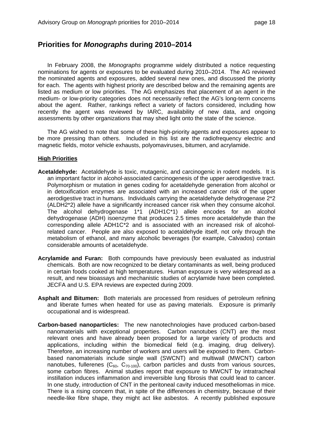## **Priorities for** *Monographs* **during 2010–2014**

 In February 2008, the *Monographs* programme widely distributed a notice requesting nominations for agents or exposures to be evaluated during 2010–2014. The AG reviewed the nominated agents and exposures, added several new ones, and discussed the priority for each. The agents with highest priority are described below and the remaining agents are listed as medium or low priorities. The AG emphasizes that placement of an agent in the medium- or low-priority categories does not necessarily reflect the AG's long-term concerns about the agent. Rather, rankings reflect a variety of factors considered, including how recently the agent was reviewed by IARC, availability of new data, and ongoing assessments by other organizations that may shed light onto the state of the science.

 The AG wished to note that some of these high-priority agents and exposures appear to be more pressing than others. Included in this list are the radiofrequency electric and magnetic fields, motor vehicle exhausts, polyomaviruses, bitumen, and acrylamide.

#### **High Priorities**

- **Acetaldehyde:** Acetaldehyde is toxic, mutagenic, and carcinogenic in rodent models. It is an important factor in alcohol-associated carcinogenesis of the upper aerodigestive tract. Polymorphism or mutation in genes coding for acetaldehyde generation from alcohol or in detoxification enzymes are associated with an increased cancer risk of the upper aerodigestive tract in humans. Individuals carrying the acetaldehyde dehydrogenase 2\*2 (ALDH2\*2) allele have a significantly increased cancer risk when they consume alcohol. The alcohol dehydrogenase 1\*1 (ADH1C\*1) allele encodes for an alcohol dehydrogenase (ADH) isoenzyme that produces 2.5 times more acetaldehyde than the corresponding allele ADH1C\*2 and is associated with an increased risk of alcoholrelated cancer. People are also exposed to acetaldehyde itself, not only through the metabolism of ethanol, and many alcoholic beverages (for example, Calvados) contain considerable amounts of acetaldehyde.
- **Acrylamide and Furan:** Both compounds have previously been evaluated as industrial chemicals. Both are now recognized to be dietary contaminants as well, being produced in certain foods cooked at high temperatures. Human exposure is very widespread as a result, and new bioassays and mechanistic studies of acrylamide have been completed. JECFA and U.S. EPA reviews are expected during 2009.
- **Asphalt and Bitumen:** Both materials are processed from residues of petroleum refining and liberate fumes when heated for use as paving materials. Exposure is primarily occupational and is widespread.
- **Carbon-based nanoparticles:** The new nanotechnologies have produced carbon-based nanomaterials with exceptional properties. Carbon nanotubes (CNT) are the most relevant ones and have already been proposed for a large variety of products and applications, including within the biomedical field (e.g. imaging, drug delivery). Therefore, an increasing number of workers and users will be exposed to them. Carbonbased nanomaterials include single wall (SWCNT) and multiwall (MWCNT) carbon nanotubes, fullerenes ( $C_{60}$ ,  $C_{70-100}$ ), carbon particles and dusts from various sources, some carbon fibres. Animal studies report that exposure to MWCNT by intratracheal instillation induces inflammation and irreversible lung fibrosis that could lead to cancer. In one study, introduction of CNT in the peritoneal cavity induced mesotheliomas in mice. There is a rising concern that, in spite of the differences in chemistry, because of their needle-like fibre shape, they might act like asbestos. A recently published exposure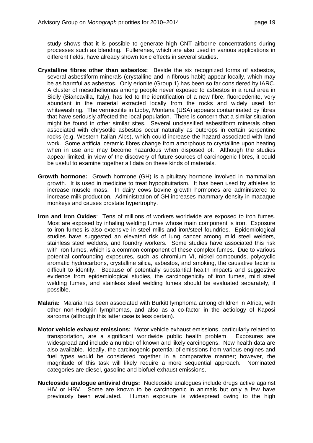study shows that it is possible to generate high CNT airborne concentrations during processes such as blending. Fullerenes, which are also used in various applications in different fields, have already shown toxic effects in several studies.

- **Crystalline fibres other than asbestos:** Beside the six recognized forms of asbestos, several asbestiform minerals (crystalline and in fibrous habit) appear locally, which may be as harmful as asbestos. Only erionite (Group 1) has been so far considered by IARC. A cluster of mesotheliomas among people never exposed to asbestos in a rural area in Sicily (Biancavilla, Italy), has led to the identification of a new fibre, fluoroedenite, very abundant in the material extracted locally from the rocks and widely used for whitewashing. The vermiculite in Libby, Montana (USA) appears contaminated by fibres that have seriously affected the local population. There is concern that a similar situation might be found in other similar sites. Several unclassified asbestiform minerals often associated with chrysotile asbestos occur naturally as outcrops in certain serpentine rocks (e.g. Western Italian Alps), which could increase the hazard associated with land work. Some artificial ceramic fibres change from amorphous to crystalline upon heating when in use and may become hazardous when disposed of. Although the studies appear limited, in view of the discovery of future sources of carcinogenic fibres, it could be useful to examine together all data on these kinds of materials.
- **Growth hormone:** Growth hormone (GH) is a pituitary hormone involved in mammalian growth. It is used in medicine to treat hypopituitarism. It has been used by athletes to increase muscle mass. In dairy cows bovine growth hormones are administered to increase milk production. Administration of GH increases mammary density in macaque monkeys and causes prostate hypertrophy.
- **Iron and Iron Oxides**: Tens of millions of workers worldwide are exposed to iron fumes. Most are exposed by inhaling welding fumes whose main component is iron. Exposure to iron fumes is also extensive in steel mills and iron/steel foundries. Epidemiological studies have suggested an elevated risk of lung cancer among mild steel welders, stainless steel welders, and foundry workers. Some studies have associated this risk with iron fumes, which is a common component of these complex fumes. Due to various potential confounding exposures, such as chromium VI, nickel compounds, polycyclic aromatic hydrocarbons, crystalline silica, asbestos, and smoking, the causative factor is difficult to identify. Because of potentially substantial health impacts and suggestive evidence from epidemiological studies, the carcinogenicity of iron fumes, mild steel welding fumes, and stainless steel welding fumes should be evaluated separately, if possible.
- **Malaria:** Malaria has been associated with Burkitt lymphoma among children in Africa, with other non-Hodgkin lymphomas, and also as a co-factor in the aetiology of Kaposi sarcoma (although this latter case is less certain).
- **Motor vehicle exhaust emissions:** Motor vehicle exhaust emissions, particularly related to transportation, are a significant worldwide public health problem. Exposures are widespread and include a number of known and likely carcinogens. New health data are also available. Ideally, the carcinogenic potential of emissions from various engines and fuel types would be considered together in a comparative manner; however, the magnitude of this task will likely require a more sequential approach. Nominated categories are diesel, gasoline and biofuel exhaust emissions.
- **Nucleoside analogue antiviral drugs:** Nucleoside analogues include drugs active against HIV or HBV. Some are known to be carcinogenic in animals but only a few have previously been evaluated. Human exposure is widespread owing to the high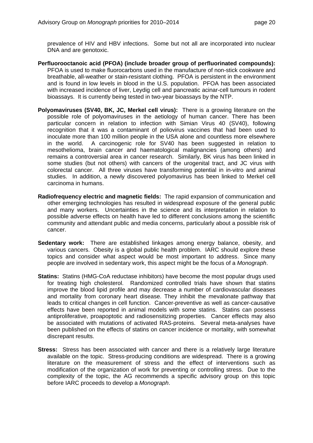prevalence of HIV and HBV infections. Some but not all are incorporated into nuclear DNA and are genotoxic.

- **Perfluorooctanoic acid (PFOA) (include broader group of perfluorinated compounds):** PFOA is used to make fluorocarbons used in the manufacture of non-stick cookware and breathable, all-weather or stain-resistant clothing. PFOA is persistent in the environment and is found in low levels in blood in the U.S. population. PFOA has been associated with increased incidence of liver, Leydig cell and pancreatic acinar-cell tumours in rodent bioassays. It is currently being tested in two-year bioassays by the NTP.
- **Polyomaviruses (SV40, BK, JC, Merkel cell virus):** There is a growing literature on the possible role of polyomaviruses in the aetiology of human cancer. There has been particular concern in relation to infection with Simian Virus 40 (SV40), following recognition that it was a contaminant of poliovirus vaccines that had been used to inoculate more than 100 million people in the USA alone and countless more elsewhere in the world. A carcinogenic role for SV40 has been suggested in relation to mesothelioma, brain cancer and haematological malignancies (among others) and remains a controversial area in cancer research. Similarly, BK virus has been linked in some studies (but not others) with cancers of the urogenital tract, and JC virus with colorectal cancer. All three viruses have transforming potential in in-vitro and animal studies. In addition, a newly discovered polyomavirus has been linked to Merkel cell carcinoma in humans.
- **Radiofrequency electric and magnetic fields:** The rapid expansion of communication and other emerging technologies has resulted in widespread exposure of the general public and many workers. Uncertainties in the science and its interpretation in relation to possible adverse effects on health have led to different conclusions among the scientific community and attendant public and media concerns, particularly about a possible risk of cancer.
- **Sedentary work:** There are established linkages among energy balance, obesity, and various cancers. Obesity is a global public health problem. IARC should explore these topics and consider what aspect would be most important to address. Since many people are involved in sedentary work, this aspect might be the focus of a *Monograph*.
- **Statins:** Statins (HMG-CoA reductase inhibitors) have become the most popular drugs used for treating high cholesterol. Randomized controlled trials have shown that statins improve the blood lipid profile and may decrease a number of cardiovascular diseases and mortality from coronary heart disease. They inhibit the mevalonate pathway that leads to critical changes in cell function. Cancer-preventive as well as cancer-causative effects have been reported in animal models with some statins. Statins can possess antiproliferative, proapoptotic and radiosensitizing properties. Cancer effects may also be associated with mutations of activated RAS-proteins. Several meta-analyses have been published on the effects of statins on cancer incidence or mortality, with somewhat discrepant results.
- **Stress:** Stress has been associated with cancer and there is a relatively large literature available on the topic. Stress-producing conditions are widespread. There is a growing literature on the measurement of stress and the effect of interventions such as modification of the organization of work for preventing or controlling stress. Due to the complexity of the topic, the AG recommends a specific advisory group on this topic before IARC proceeds to develop a *Monograph*.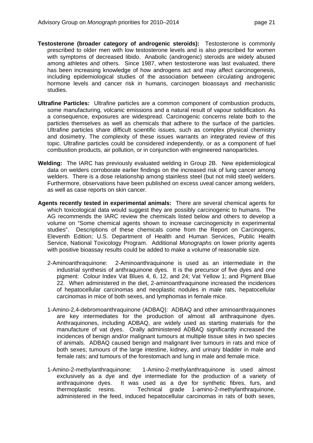- **Testosterone (broader category of androgenic steroids):** Testosterone is commonly prescribed to older men with low testosterone levels and is also prescribed for women with symptoms of decreased libido. Anabolic (androgenic) steroids are widely abused among athletes and others. Since 1987, when testosterone was last evaluated, there has been increasing knowledge of how androgens act and may affect carcinogenesis, including epidemiological studies of the association between circulating androgenic hormone levels and cancer risk in humans, carcinogen bioassays and mechanistic studies.
- **Ultrafine Particles:** Ultrafine particles are a common component of combustion products, some manufacturing, volcanic emissions and a natural result of vapour solidification. As a consequence, exposures are widespread. Carcinogenic concerns relate both to the particles themselves as well as chemicals that adhere to the surface of the particles. Ultrafine particles share difficult scientific issues, such as complex physical chemistry and dosimetry. The complexity of these issues warrants an integrated review of this topic. Ultrafine particles could be considered independently, or as a component of fuel combustion products, air pollution, or in conjunction with engineered nanoparticles.
- **Welding:** The IARC has previously evaluated welding in Group 2B. New epidemiological data on welders corroborate earlier findings on the increased risk of lung cancer among welders. There is a dose relationship among stainless steel (but not mild steel) welders. Furthermore, observations have been published on excess uveal cancer among welders, as well as case reports on skin cancer.
- **Agents recently tested in experimental animals:** There are several chemical agents for which toxicological data would suggest they are possibly carcinogenic to humans. The AG recommends the IARC review the chemicals listed below and others to develop a volume on "Some chemical agents shown to increase carcinogenicity in experimental studies". Descriptions of these chemicals come from the Report on Carcinogens, Eleventh Edition; U.S. Department of Health and Human Services, Public Health Service, National Toxicology Program. Additional *Monographs* on lower priority agents with positive bioassay results could be added to make a volume of reasonable size.
	- 2-Aminoanthraquinone: 2-Aminoanthraquinone is used as an intermediate in the industrial synthesis of anthraquinone dyes. It is the precursor of five dyes and one pigment: Colour Index Vat Blues 4, 6, 12, and 24; Vat Yellow 1; and Pigment Blue 22. When administered in the diet, 2-aminoanthraquinone increased the incidences of hepatocellular carcinomas and neoplastic nodules in male rats, hepatocellular carcinomas in mice of both sexes, and lymphomas in female mice.
	- 1-Amino-2,4-debromoanthraquinone (ADBAQ): ADBAQ and other aminoanthraquinones are key intermediates for the production of almost all anthraquinone dyes. Anthraquinones, including ADBAQ, are widely used as starting materials for the manufacture of vat dyes. Orally administered ADBAQ significantly increased the incidences of benign and/or malignant tumours at multiple tissue sites in two species of animals. ADBAQ caused benign and malignant liver tumours in rats and mice of both sexes; tumours of the large intestine, kidney, and urinary bladder in male and female rats; and tumours of the forestomach and lung in male and female mice.
	- 1-Amino-2-methylanthraquinone: 1-Amino-2-methylanthraquinone is used almost exclusively as a dye and dye intermediate for the production of a variety of anthraquinone dyes. It was used as a dye for synthetic fibres, furs, and thermoplastic resins. Technical grade 1-amino-2-methylanthraquinone, administered in the feed, induced hepatocellular carcinomas in rats of both sexes,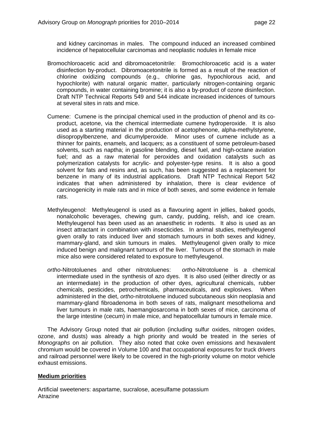and kidney carcinomas in males. The compound induced an increased combined incidence of hepatocellular carcinomas and neoplastic nodules in female mice

- Bromochloroacetic acid and dibromoacetonitrile: Bromochloroacetic acid is a water disinfection by-product. Dibromoacetonitrile is formed as a result of the reaction of chlorine oxidizing compounds (e.g., chlorine gas, hypochlorous acid, and hypochlorite) with natural organic matter, particularly nitrogen-containing organic compounds, in water containing bromine; it is also a by-product of ozone disinfection. Draft NTP Technical Reports 549 and 544 indicate increased incidences of tumours at several sites in rats and mice.
- Cumene: Cumene is the principal chemical used in the production of phenol and its coproduct, acetone, via the chemical intermediate cumene hydroperoxide. It is also used as a starting material in the production of acetophenone, alpha-methylstyrene, diisopropylbenzene, and dicumylperoxide. Minor uses of cumene include as a thinner for paints, enamels, and lacquers; as a constituent of some petroleum-based solvents, such as naptha; in gasoline blending, diesel fuel, and high-octane aviation fuel; and as a raw material for peroxides and oxidation catalysts such as polymerization catalysts for acrylic- and polyester-type resins. It is also a good solvent for fats and resins and, as such, has been suggested as a replacement for benzene in many of its industrial applications. Draft NTP Technical Report 542 indicates that when administered by inhalation, there is clear evidence of carcinogenicity in male rats and in mice of both sexes, and some evidence in female rats.
- Methyleugenol: Methyleugenol is used as a flavouring agent in jellies, baked goods, nonalcoholic beverages, chewing gum, candy, pudding, relish, and ice cream. Methyleugenol has been used as an anaesthetic in rodents. It also is used as an insect attractant in combination with insecticides. In animal studies, methyleugenol given orally to rats induced liver and stomach tumours in both sexes and kidney, mammary-gland, and skin tumours in males. Methyleugenol given orally to mice induced benign and malignant tumours of the liver. Tumours of the stomach in male mice also were considered related to exposure to methyleugenol.
- *ortho*-Nitrotoluenes and other nitrotoluenes: *ortho*-Nitrotoluene is a chemical intermediate used in the synthesis of azo dyes. It is also used (either directly or as an intermediate) in the production of other dyes, agricultural chemicals, rubber chemicals, pesticides, petrochemicals, pharmaceuticals, and explosives. When administered in the diet, *ortho*-nitrotoluene induced subcutaneous skin neoplasia and mammary-gland fibroadenoma in both sexes of rats, malignant mesothelioma and liver tumours in male rats, haemangiosarcoma in both sexes of mice, carcinoma of the large intestine (cecum) in male mice, and hepatocellular tumours in female mice.

 The Advisory Group noted that air pollution (including sulfur oxides, nitrogen oxides, ozone, and dusts) was already a high priority and would be treated in the series of *Monographs* on air pollution. They also noted that coke oven emissions and hexavalent chromium would be covered in Volume 100 and that occupational exposures for truck drivers and railroad personnel were likely to be covered in the high-priority volume on motor vehicle exhaust emissions.

#### **Medium priorities**

Artificial sweeteners: aspartame, sucralose, acesulfame potassium Atrazine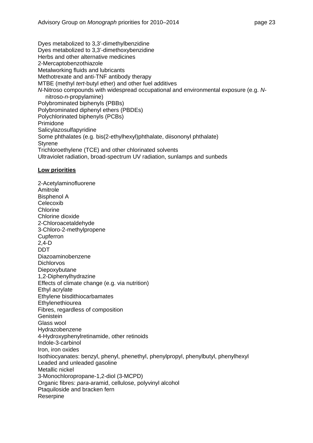Dyes metabolized to 3,3'-dimethylbenzidine Dyes metabolized to 3,3'-dimethoxybenzidine Herbs and other alternative medicines 2-Mercaptobenzothiazole Metalworking fluids and lubricants Methotrexate and anti-TNF antibody therapy MTBE (methyl *tert*-butyl ether) and other fuel additives *N*-Nitroso compounds with widespread occupational and environmental exposure (e.g. *N*nitroso-*n*-propylamine) Polybrominated biphenyls (PBBs) Polybrominated diphenyl ethers (PBDEs) Polychlorinated biphenyls (PCBs) Primidone Salicylazosulfapyridine Some phthalates (e.g. bis(2-ethylhexyl)phthalate, diisononyl phthalate) **Styrene** Trichloroethylene (TCE) and other chlorinated solvents Ultraviolet radiation, broad-spectrum UV radiation, sunlamps and sunbeds

#### **Low priorities**

2-Acetylaminofluorene Amitrole Bisphenol A Celecoxib Chlorine Chlorine dioxide 2-Chloroacetaldehyde 3-Chloro-2-methylpropene **Cupferron** 2,4-D DDT Diazoaminobenzene **Dichlorvos** Diepoxybutane 1,2-Diphenylhydrazine Effects of climate change (e.g. via nutrition) Ethyl acrylate Ethylene bisdithiocarbamates **Ethylenethiourea** Fibres, regardless of composition Genistein Glass wool Hydrazobenzene 4-Hydroxyphenylretinamide, other retinoids Indole-3-carbinol Iron, iron oxides Isothiocyanates: benzyl, phenyl, phenethyl, phenylpropyl, phenylbutyl, phenylhexyl Leaded and unleaded gasoline Metallic nickel 3-Monochloropropane-1,2-diol (3-MCPD) Organic fibres: *para*-aramid, cellulose, polyvinyl alcohol Ptaquiloside and bracken fern Reserpine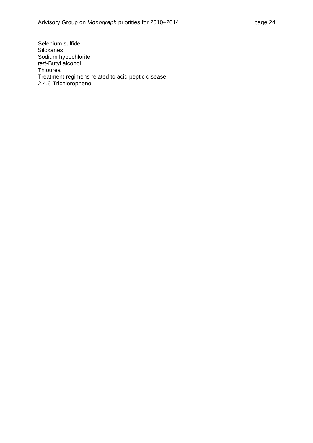Selenium sulfide Siloxanes Sodium hypochlorite *tert*-Butyl alcohol **Thiourea** Treatment regimens related to acid peptic disease 2,4,6-Trichlorophenol